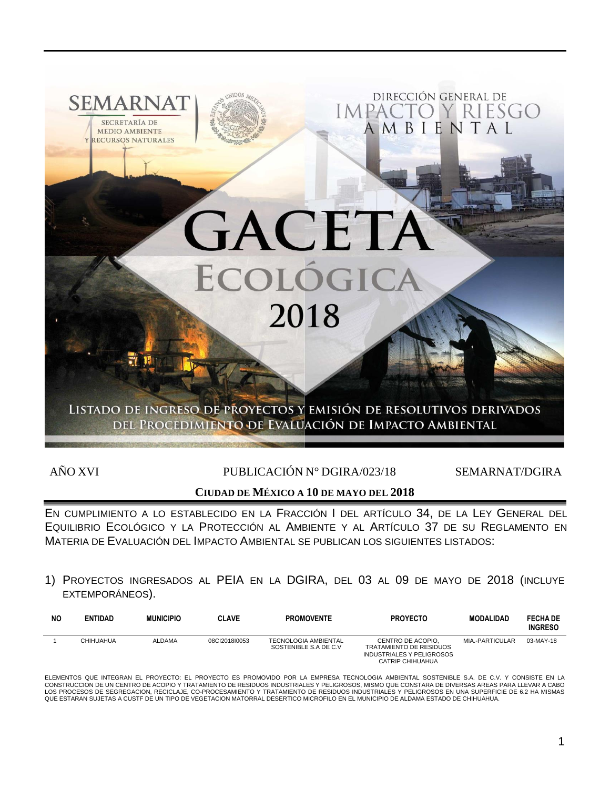

AÑO XVI PUBLICACIÓN Nº DGIRA/023/18 SEMARNAT/DGIRA

# **CIUDAD DE MÉXICO A 10 DE MAYO DEL 2018**

EN CUMPLIMIENTO A LO ESTABLECIDO EN LA FRACCIÓN I DEL ARTÍCULO 34, DE LA LEY GENERAL DEL EQUILIBRIO ECOLÓGICO Y LA PROTECCIÓN AL AMBIENTE Y AL ARTÍCULO 37 DE SU REGLAMENTO EN MATERIA DE EVALUACIÓN DEL IMPACTO AMBIENTAL SE PUBLICAN LOS SIGUIENTES LISTADOS:

1) PROYECTOS INGRESADOS AL PEIA EN LA DGIRA, DEL 03 AL 09 DE MAYO DE 2018 (INCLUYE EXTEMPORÁNEOS).

| NΟ | <b>ENTIDAD</b> | <b>MUNICIPIO</b> | <b>CLAVE</b>  | <b>PROMOVENTE</b>                                     | <b>PROYECTO</b>                                                                                             | <b>MODALIDAD</b> | <b>FECHA DE</b><br><b>INGRESO</b> |
|----|----------------|------------------|---------------|-------------------------------------------------------|-------------------------------------------------------------------------------------------------------------|------------------|-----------------------------------|
|    | CHIHUAHUA      | <b>ALDAMA</b>    | 08Cl2018l0053 | <b>TECNOLOGIA AMBIENTAL</b><br>SOSTENIBLE S.A DE C.V. | CENTRO DE ACOPIO.<br>TRATAMIENTO DE RESIDUOS<br><b>INDUSTRIALES Y PELIGROSOS</b><br><b>CATRIP CHIHUAHUA</b> | MIA.-PARTICULAR  | 03-MAY-18                         |

ELEMENTOS QUE INTEGRAN EL PROYECTO: EL PROYECTO ES PROMOVIDO POR LA EMPRESA TECNOLOGIA AMBIENTAL SOSTENIBLE S.A. DE C.V. Y CONSISTE EN LA<br>CONSTRUCCION DE UN CENTRO DE ACOPIO Y TRATAMIENTO DE RESIDUOS INDUSTRIALES Y PELIGRO LOS PROCESOS DE SEGREGACION, RECICLAJE, CO-PROCESAMIENTO Y TRATAMIENTO DE RESIDUOS INDUSTRIALES Y PELIGROSOS EN UNA SUPERFICIE DE 6.2 HA MISMAS QUE ESTARAN SUJETAS A CUSTF DE UN TIPO DE VEGETACION MATORRAL DESERTICO MICROFILO EN EL MUNICIPIO DE ALDAMA ESTADO DE CHIHUAHUA.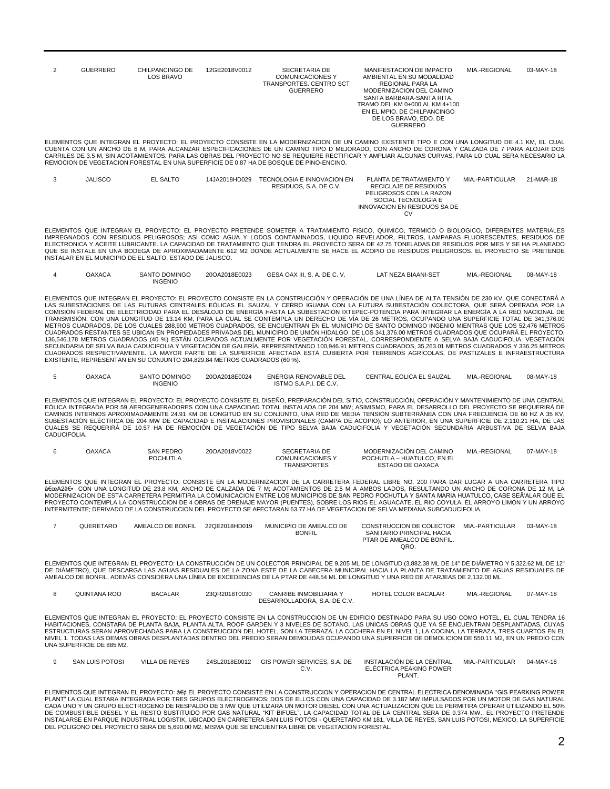| <b>GUERRERO</b> | CHILPANCINGO DE<br>LOS BRAVO | 12GE2018V0012 | SECRETARIA DE<br><b>COMUNICACIONES Y</b><br>TRANSPORTES, CENTRO SCT<br>GUERRERO        | MANIFESTACION DE IMPACTO<br>AMBIENTAL EN SU MODALIDAD<br>REGIONAL PARA LA<br>MODERNIZACION DEL CAMINO<br>SANTA BARBARA-SANTA RITA.<br>TRAMO DEL KM 0+000 AL KM 4+100<br>EN EL MPIO. DE CHILPANCINGO<br>DE LOS BRAVO, EDO, DE<br><b>GUERRERO</b>                                                                                                                                                                                                      | MIA.-REGIONAL | 03-MAY-18 |
|-----------------|------------------------------|---------------|----------------------------------------------------------------------------------------|------------------------------------------------------------------------------------------------------------------------------------------------------------------------------------------------------------------------------------------------------------------------------------------------------------------------------------------------------------------------------------------------------------------------------------------------------|---------------|-----------|
|                 |                              |               | REMOCION DE VEGETACION FORESTAL EN UNA SUPERFICIE DE 0.87 HA DE BOSQUE DE PINO-ENCINO. | ELEMENTOS QUE INTEGRAN EL PROYECTO: EL PROYECTO CONSISTE EN LA MODERNIZACION DE UN CAMINO EXISTENTE TIPO E CON UNA LONGITUD DE 4.1 KM. EL CUAL<br>CUENTA CON UN ANCHO DE 6 M. PARA ALCANZAR ESPECIFICACIONES DE UN CAMINO TIPO D MEJORADO. CON ANCHO DE CORONA Y CALZADA DE 7 PARA ALOJAR DOS<br>CARRILES DE 3.5 M. SIN ACOTAMIENTOS. PARA LAS OBRAS DEL PROYECTO NO SE REQUIERE RECTIFICAR Y AMPLIAR ALGUNAS CURVAS. PARA LO CUAL SERA NECESARIO LA |               |           |

| <b>JALISCO</b> | EL SALTO | 14JA2018HD029 | TECNOLOGIA E INNOVACION EN | PLANTA DE TRATAMIENTO Y      | MIA - PARTICULAR | 21-MAR-18 |
|----------------|----------|---------------|----------------------------|------------------------------|------------------|-----------|
|                |          |               | RESIDUOS, S.A. DE C.V.     | RECICLAJE DE RESIDUOS        |                  |           |
|                |          |               |                            | PELIGROSOS CON LA RAZON      |                  |           |
|                |          |               |                            | SOCIAL TECNOLOGIA E          |                  |           |
|                |          |               |                            | INNOVACION EN RESIDUOS SA DE |                  |           |
|                |          |               |                            | CV                           |                  |           |

ELEMENTOS QUE INTEGRAN EL PROYECTO: EL PROYECTO PRETENDE SOMETER A TRATAMIENTO FISICO, QUIMICO, TERMICO O BIOLOGICO, DIFERENTES MATERIALES IMPREGNADOS CON RESIDUOS PELIGROSOS; ASI COMO AGUA Y LODOS CONTAMINADOS, LIQUIDO REVELADOR, FILTROS, LAMPARAS FLUORESCENTES, RESIDUOS DE ELECTRONICA Y ACEITE LUBRICANTE. LA CAPACIDAD DE TRATAMIENTO QUE TENDRA EL PROYECTO SERA DE 42.75 TONELADAS DE RESIDUOS POR MES Y SE HA PLANEADO<br>QUE SE INSTALE EN UNA BODEGA DE APROXIMADAMENTE 612 M2 DONDE ACTUALMENTE SE H INSTALAR EN EL MUNICIPIO DE EL SALTO, ESTADO DE JALISCO.

| <b>OAXACA</b> | SANTO DOMINGO | 20OA2018E0023 | GESA OAX III. S. A. DE C. V. | LAT NEZA BIAANI-SET | MIA.-REGIONAL | 08-MAY-18 |
|---------------|---------------|---------------|------------------------------|---------------------|---------------|-----------|
|               | INGENIO       |               |                              |                     |               |           |

ELEMENTOS QUE INTEGRAN EL PROYECTO: EL PROYECTO CONSISTE EN LA CONSTRUCCIÓN Y OPERACIÓN DE UNA LÍNEA DE ALTA TENSIÓN DE 230 KV, QUE CONECTARÁ A LAS SUBESTACIONES DE LAS FUTURAS CENTRALES EÓLICAS EL SAUZAL Y CERRO IGUANA CON LA FUTURA SUBESTACIÓN COLECTORA, QUE SERÁ OPERADA POR LA COMISION FEDERAL DE ELECTRICIDAD PARA EL DESALOJO DE ENERGIA HASTA LA SUBESTACION IXTEPEC-POTENCIA PARA INTEGRAR LA ENERGIA A LA RED NACIONAL DE<br>TRANSMISIÓN, CON UNA LONGITUD DE 13.14 KM, PARA LA CUAL SE CONTEMPLA UN DEREC METROS CUADRADOS, DE LOS CUALES 288,900 METROS CUADRADOS, SE ENCUENTRAN EN EL MUNICIPIO DE SANTO DOMINGO INGENIO MIENTRAS QUE LOS 52,476 METROS CUADRADOS RESTANTES SE UBICAN EN PROPIEDADES PRIVADAS DEL MUNICIPIO DE UNIÓN HIDALGO. DE LOS 341,376.00 METROS CUADRADOS QUE OCUPARÁ EL PROYECTO, 136,546.178 METROS CUADRADOS (40 %) ESTÁN OCUPADOS ACTUALMENTE POR VEGETACIÓN FORESTAL, CORRESPONDIENTE A SELVA BAJA CADUCIFOLIA, VEGETACIÓN SECUNDARIA DE SELVA BAJA CADUCIFOLIA Y VEGETACION DE GALERIA, REPRESENTANDO 100,946.91 METROS CUADRADOS, 35,263.01 METROS CUADRADOS Y 336.25 METROS<br>CUADRADOS RESPECTIVAMENTE. LA MAYOR PARTE DE LA SUPERFICIE AFECTADA ESTÁ C EXISTENTE, REPRESENTAN EN SU CONJUNTO 204,829.84 METROS CUADRADOS (60 %).

| OAXACA | <b>DOMINGC</b><br>3AN. | 20OA2018E0024<br>. | ENERGIA RENOVABLE DE'<br>LE DEI | SAUZAL<br>EOLICA EL .<br>`FNT<br>TR AI | MIA.-REGIONAL | 08-MAY-18 |
|--------|------------------------|--------------------|---------------------------------|----------------------------------------|---------------|-----------|
|        | <b>INGENIO</b>         |                    | 110010100001<br>◡.៴<br>.        |                                        |               |           |

ELEMENTOS QUE INTEGRAN EL PROYECTO: EL PROYECTO CONSISTE EL DISEÑO, PREPARACIÓN DEL SITIO, CONSTRUCCIÓN, OPERACIÓN Y MANTENIMIENTO DE UNA CENTRAL EOLICA INTEGRADA POR 59 AEROGENERADORES CON UNA CAPACIDAD TOTAL INSTALADA DE 204 MW; ASIMISMO, PARA EL DESARROLLO DEL PROYECTO SE REQUERIRA DE<br>CAMINOS INTERNOS APROXIMADAMENTE 24.91 KM DE LONGITUD EN SU CONJUNTO, UNA RED D SUBESTACIÓN ELÉCTRICA DE 204 MW DE CAPACIDAD E INSTALACIONES PROVISIONALES (CAMPA DE ACOPIO); LO ANTERIOR, EN UNA SUPERFICIE DE 2,110.21 HA, DE LAS CUALES SE REQUERIRÁ DE 10.57 HA DE REMOCIÓN DE VEGETACIÓN DE TIPO SELVA BAJA CADUCIFOLIA Y VEGETACIÓN SECUNDARIA ARBUSTIVA DE SELVA BAJA CADUCIFOLIA.

| OAXACA | SAN PEDRO<br>POCHUTLA | 20OA2018V0022 | SECRETARIA DE<br>COMUNICACIONES Y | MODERNIZACIÓN DEL CAMINO<br>POCHUTLA - HUATULCO. EN EL | MIA.-REGIONAL | 07-MAY-18 |
|--------|-----------------------|---------------|-----------------------------------|--------------------------------------------------------|---------------|-----------|
|        |                       |               | <b>TRANSPORTES</b>                | ESTADO DE OAXACA                                       |               |           |

ELEMENTOS QUE INTEGRAN EL PROYECTO: CONSISTE EN LA MODERNIZACION DE LA CARRETERA FEDERAL LIBRE NO. 200 PARA DAR LUGAR A UNA CARRETERA TIPO "A2― CON UNA LONGITUD DE 23.8 KM, ANCHO DE CALZADA DE 7 M; ACOTAMIENTOS DE 2.5 M A AMBOS LADOS, RESULTANDO UN ANCHO DE CORONA DE 12 M, LA<br>MODERNIZACION DE ESTA CARRETERA PERMITIRA LA COMUNICACION ENTRE LOS MUNICIPIOS PROYECTO CONTEMPLA LA CONSTRUCCION DE 4 OBRAS DE DRENAJE MAYOR (PUENTES), SOBRE LOS RIOS EL AGUACATE, EL RIO COYULA, EL ARROYO LIMON Y UN ARROYO INTERMITENTE; DERIVADO DE LA CONSTRUCCION DEL PROYECTO SE AFECTARAN 63.77 HA DE VEGETACION DE SELVA MEDIANA SUBCADUCIFOLIA.

| QUERETARO | AMEALCO DE BONFIL | 22QE2018HD019 | MUNICIPIO DE AMEALCO DE | CONSTRUCCION DE COLECTOR   | MIA.-PARTICULAR | $03-MAY-18$ |
|-----------|-------------------|---------------|-------------------------|----------------------------|-----------------|-------------|
|           |                   |               | <b>BONFIL</b>           | SANITARIO PRINCIPAL HACIA  |                 |             |
|           |                   |               |                         | PTAR DE AMEALCO DE BONFIL. |                 |             |
|           |                   |               |                         | QRO                        |                 |             |

ELEMENTOS QUE INTEGRAN EL PROYECTO: LA CONSTRUCCIÓN DE UN COLECTOR PRINCIPAL DE 9,205 ML DE LONGITUD (3,882.38 ML DE 14" DE DIÁMETRO Y 5,322.62 ML DE 12" DE DIÁMETRO), QUE DESCARGA LAS AGUAS RESIDUALES DE LA ZONA ESTE DE LA CABECERA MUNICIPAL HACIA LA PLANTA DE TRATAMIENTO DE AGUAS RESIDUALES DE AMEALCO DE BONFIL, ADEMÁS CONSIDERA UNA LÍNEA DE EXCEDENCIAS DE LA PTAR DE 448.54 ML DE LONGITUD Y UNA RED DE ATARJEAS DE 2,132.00 ML.

| TANA ROC<br>TUINC | <b>BACALAR</b> | 23QR2018T0030<br>. | <b>CANRIBE INMOBILIARIA</b>                   | HOTEL<br><b>COLOR BACAL</b><br><b>TIR BACALAR</b> | <b>REGIONAL</b><br>MIA.<br>- - | 07-MAY-18 |
|-------------------|----------------|--------------------|-----------------------------------------------|---------------------------------------------------|--------------------------------|-----------|
|                   |                |                    | DESARROLLADORA.<br>. DE C.V<br>S.A.<br>. v. v |                                                   |                                |           |

ELEMENTOS QUE INTEGRAN EL PROYECTO: EL PROYECTO CONSISTE EN LA CONSTRUCCION DE UN EDIFICIO DESTINADO PARA SU USO COMO HOTEL, EL CUAL TENDRA 16 HABITACIONES, CONSTARA DE PLANTA BAJA, PLANTA ALTA, ROOF GARDEN Y 3 NIVELES DE SOTANO. LAS UNICAS OBRAS QUE YA SE ENCUENTRAN DESPLANTADAS, CUYAS<br>ESTRUCTURAS SERAN APROVECHADAS PARA LA CONSTRUCCION DEL HOTEL, SON LA TERRAZA NIVEL 1. TODAS LAS DEMAS OBRAS DESPLANTADAS DENTRO DEL PREDIO SERAN DEMOLIDAS OCUPANDO UNA SUPERFICIE DE DEMOLICION DE 550.11 M2, EN UN PREDIO CON UNA SUPERFICIE DE 885 M2.

| SAN LUIS POTOSI | VILLA DE REYES | 24SL2018E0012 | GIS POWER SERVICES. S.A. DE | INSTALACIÓN DE LA CENTRAL<br>ELÉCTRICA PEAKING POWER | MIA.-PARTICULAR | 04-MAY-18 |
|-----------------|----------------|---------------|-----------------------------|------------------------------------------------------|-----------------|-----------|
|                 |                |               |                             | <b>PLANT</b>                                         |                 |           |

ELEMENTOS QUE INTEGRAN EL PROYECTO: • EL PROYECTO CONSISTE EN LA CONSTRUCCION Y OPERACION DE CENTRAL ELECTRICA DENOMINADA "GIS PEARKING POWER PLANT" LA CUAL ESTARA INTEGRADA POR TRES GRUPOS ELECTROGENOS: DOS DE ELLOS CON UNA CAPACIDAD DE 3.187 MW IMPULSADOS POR UN MOTOR DE GAS NATURAL CADA UNO Y UN GRUPO ELECTROGENO DE RESPALDO DE 3 MW QUE UTILIZARA UN MOTOR DIESEL CON UNA ACTUALIZACION QUE LE PERMITIRA OPERAR UTILIZANDO EL 50%<br>DE COMBUSTIBLE DIESEL Y EL RESTO SUSTITUIDO POR GAS NATURAL "KIT BIFUEL". LA INSTALARSE EN PARQUE INDUSTRIAL LOGISTIK, UBICADO EN CARRETERA SAN LUIS POTOSI - QUERETARO KM 181, VILLA DE REYES, SAN LUIS POTOSI, MEXICO, LA SUPERFICIE<br>DEL POLIGONO DEL PROYECTO SERA DE 5,690.00 M2, MISMA QUE SE ENCUENTR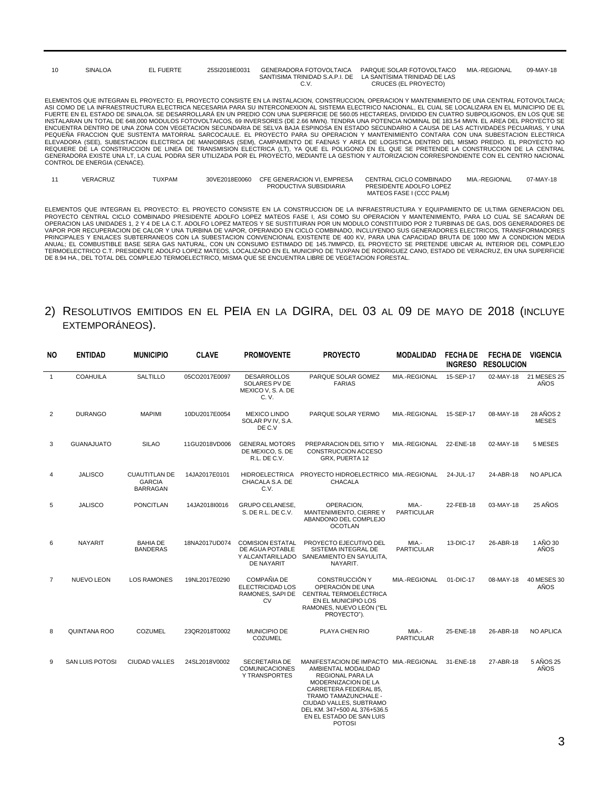| 10 | <b>SINALOA</b>               | EL FUERTE | 25SI2018E0031 | <b>GENERADORA FOTOVOLTAICA</b><br>C.V. | PARQUE SOLAR FOTOVOLTAICO<br>SANTISIMA TRINIDAD S.A.P.I. DE LA SANTÍSIMA TRINIDAD DE LAS<br>CRUCES (EL PROYECTO)                                                                                                                                                                                                                                                                                                                                                                                                                                                                                                                                                                                                                                                                                                                                                                                                                                                                                                                                                                                                                                                                                                                                                                                                                                                     | MIA.-REGIONAL | 09-MAY-18 |
|----|------------------------------|-----------|---------------|----------------------------------------|----------------------------------------------------------------------------------------------------------------------------------------------------------------------------------------------------------------------------------------------------------------------------------------------------------------------------------------------------------------------------------------------------------------------------------------------------------------------------------------------------------------------------------------------------------------------------------------------------------------------------------------------------------------------------------------------------------------------------------------------------------------------------------------------------------------------------------------------------------------------------------------------------------------------------------------------------------------------------------------------------------------------------------------------------------------------------------------------------------------------------------------------------------------------------------------------------------------------------------------------------------------------------------------------------------------------------------------------------------------------|---------------|-----------|
|    | CONTROL DE ENERGIA (CENACE). |           |               |                                        | ELEMENTOS QUE INTEGRAN EL PROYECTO: EL PROYECTO CONSISTE EN LA INSTALACION. CONSTRUCCION. OPERACION Y MANTENIMIENTO DE UNA CENTRAL FOTOVOLTAICA:<br>ASI COMO DE LA INFRAESTRUCTURA ELECTRICA NECESARIA PARA SU INTERCONEXION AL SISTEMA ELECTRICO NACIONAL. EL CUAL SE LOCALIZARA EN EL MUNICIPIO DE EL<br>FUERTE EN EL ESTADO DE SINALOA. SE DESARROLLARA EN UN PREDIO CON UNA SUPERFICIE DE 560.05 HECTAREAS. DIVIDIDO EN CUATRO SUBPOLIGONOS. EN LOS QUE SE<br>INSTALARAN UN TOTAL DE 648.000 MODULOS FOTOVOLTAICOS. 69 INVERSORES (DE 2.66 MWN). TENDRA UNA POTENCIA NOMINAL DE 183.54 MWN. EL AREA DEL PROYECTO SE<br>ENCUENTRA DENTRO DE UNA ZONA CON VEGETACION SECUNDARIA DE SELVA BAJA ESPINOSA EN ESTADO SECUNDARIO A CAUSA DE LAS ACTIVIDADES PECUARIAS. Y UNA<br>PEQUEÑA FRACCION QUE SUSTENTA MATORRAL SARCOCAULE. EL PROYECTO PARA SU OPERACION Y MANTENIMIENTO CONTARA CON UNA SUBESTACION ELECTRICA<br>ELEVADORA (SEE). SUBESTACION ELECTRICA DE MANIOBRAS (SEM). CAMPAMENTO DE FAENAS Y AREA DE LOGISTICA DENTRO DEL MISMO PREDIO. EL PROYECTO NO<br>REQUIERE DE LA CONSTRUCCION DE LINEA DE TRANSMISION ELECTRICA (LT), YA QUE EL POLIGONO EN EL QUE SE PRETENDE LA CONSTRUCCION DE LA CENTRAL<br>GENERADORA EXISTE UNA LT. LA CUAL PODRA SER UTILIZADA POR EL PROYECTO. MEDIANTE LA GESTION Y AUTORIZACION CORRESPONDIENTE CON EL CENTRO NACIONAL |               |           |

| VERACRUZ | TUXPAM | 30VE2018E0060 | CFE GENERACION VI. EMPRESA | CENTRAL CICLO COMBINADO  | MIA.-REGIONAL | 07-MAY-18 |
|----------|--------|---------------|----------------------------|--------------------------|---------------|-----------|
|          |        |               | PRODUCTIVA SUBSIDIARIA     | PRESIDENTE ADOLFO LOPEZ  |               |           |
|          |        |               |                            | MATEOS FASE I (CCC PALM) |               |           |

ELEMENTOS QUE INTEGRAN EL PROYECTO: EL PROYECTO CONSISTE EN LA CONSTRUCCION DE LA INFRAESTRUCTURA Y EQUIPAMIENTO DE ULTIMA GENERACION DEL<br>PROYECTO CENTRAL CICLO COMBINADO PRESIDENTE ADOLFO LOPEZ MATEOS FASE I, ASI COMO SU

## 2) RESOLUTIVOS EMITIDOS EN EL PEIA EN LA DGIRA, DEL 03 AL 09 DE MAYO DE 2018 (INCLUYE EXTEMPORÁNEOS).

| <b>NO</b>      | <b>ENTIDAD</b>         | <b>MUNICIPIO</b>                                         | <b>CLAVE</b>  | <b>PROMOVENTE</b>                                                       | <b>PROYECTO</b>                                                                                                                                                                                                                                                          | <b>MODALIDAD</b>           | <b>FECHADE</b><br><b>INGRESO</b> | <b>FECHA DE</b><br><b>RESOLUCION</b> | <b>VIGENCIA</b>           |
|----------------|------------------------|----------------------------------------------------------|---------------|-------------------------------------------------------------------------|--------------------------------------------------------------------------------------------------------------------------------------------------------------------------------------------------------------------------------------------------------------------------|----------------------------|----------------------------------|--------------------------------------|---------------------------|
| $\mathbf{1}$   | <b>COAHUILA</b>        | <b>SALTILLO</b>                                          | 05CO2017E0097 | <b>DESARROLLOS</b><br>SOLARES PV DE<br>MEXICO V, S. A. DE<br>C. V.      | PARQUE SOLAR GOMEZ<br><b>FARIAS</b>                                                                                                                                                                                                                                      | MIA.-REGIONAL              | 15-SEP-17                        | 02-MAY-18                            | 21 MESES 25<br>AÑOS       |
| $\overline{2}$ | <b>DURANGO</b>         | <b>MAPIMI</b>                                            | 10DU2017E0054 | <b>MEXICO LINDO</b><br>SOLAR PV IV, S.A.<br>DE C.V                      | PARQUE SOLAR YERMO                                                                                                                                                                                                                                                       | MIA.-REGIONAL              | 15-SEP-17                        | 08-MAY-18                            | 28 AÑOS 2<br><b>MESES</b> |
| 3              | <b>GUANAJUATO</b>      | <b>SILAO</b>                                             | 11GU2018VD006 | <b>GENERAL MOTORS</b><br>DE MEXICO, S. DE<br>R.L. DE C.V.               | PREPARACION DEL SITIO Y<br>CONSTRUCCION ACCESO<br>GRX, PUERTA 12                                                                                                                                                                                                         | MIA.-REGIONAL              | 22-ENE-18                        | 02-MAY-18                            | 5 MESES                   |
| 4              | <b>JALISCO</b>         | <b>CUAUTITLAN DE</b><br><b>GARCIA</b><br><b>BARRAGAN</b> | 14JA2017E0101 | <b>HIDROELECTRICA</b><br>CHACALA S.A. DE<br>C.V.                        | PROYECTO HIDROELECTRICO MIA.-REGIONAL<br><b>CHACALA</b>                                                                                                                                                                                                                  |                            | 24-JUL-17                        | 24-ABR-18                            | <b>NO APLICA</b>          |
| 5              | <b>JALISCO</b>         | <b>PONCITLAN</b>                                         | 14JA2018I0016 | <b>GRUPO CELANESE,</b><br>S. DE R.L. DE C.V.                            | OPERACION,<br>MANTENIMIENTO, CIERRE Y<br>ABANDONO DEL COMPLEJO<br><b>OCOTLAN</b>                                                                                                                                                                                         | MIA.-<br><b>PARTICULAR</b> | 22-FEB-18                        | 03-MAY-18                            | 25 AÑOS                   |
| 6              | <b>NAYARIT</b>         | <b>BAHIA DE</b><br><b>BANDERAS</b>                       | 18NA2017UD074 | <b>COMISION ESTATAL</b><br>DE AGUA POTABLE<br><b>DE NAYARIT</b>         | PROYECTO EJECUTIVO DEL<br>SISTEMA INTEGRAL DE<br>Y ALCANTARILLADO SANEAMIENTO EN SAYULITA,<br>NAYARIT.                                                                                                                                                                   | MIA.-<br><b>PARTICULAR</b> | 13-DIC-17                        | 26-ABR-18                            | 1 AÑO 30<br>AÑOS          |
| $\overline{7}$ | <b>NUEVO LEON</b>      | <b>LOS RAMONES</b>                                       | 19NL2017E0290 | COMPAÑIA DE<br><b>ELECTRICIDAD LOS</b><br>RAMONES, SAPI DE<br><b>CV</b> | <b>CONSTRUCCIÓN Y</b><br>OPERACIÓN DE UNA<br>CENTRAL TERMOELÉCTRICA<br>EN EL MUNICIPIO LOS<br>RAMONES, NUEVO LEON ("EL<br>PROYECTO").                                                                                                                                    | MIA.-REGIONAL              | 01-DIC-17                        | 08-MAY-18                            | 40 MESES 30<br>AÑOS       |
| 8              | QUINTANA ROO           | <b>COZUMEL</b>                                           | 23QR2018T0002 | <b>MUNICIPIO DE</b><br><b>COZUMEL</b>                                   | <b>PLAYA CHEN RIO</b>                                                                                                                                                                                                                                                    | MIA.-<br><b>PARTICULAR</b> | 25-ENE-18                        | 26-ABR-18                            | <b>NO APLICA</b>          |
| 9              | <b>SAN LUIS POTOSI</b> | <b>CIUDAD VALLES</b>                                     | 24SL2018V0002 | <b>SECRETARIA DE</b><br><b>COMUNICACIONES</b><br><b>Y TRANSPORTES</b>   | MANIFESTACION DE IMPACTO MIA.-REGIONAL<br>AMBIENTAL MODALIDAD<br><b>REGIONAL PARA LA</b><br>MODERNIZACION DE LA<br>CARRETERA FEDERAL 85.<br>TRAMO TAMAZUNCHALE -<br>CIUDAD VALLES, SUBTRAMO<br>DEL KM. 347+500 AL 376+536.5<br>EN EL ESTADO DE SAN LUIS<br><b>POTOSI</b> |                            | 31-ENE-18                        | 27-ABR-18                            | 5 AÑOS 25<br>AÑOS         |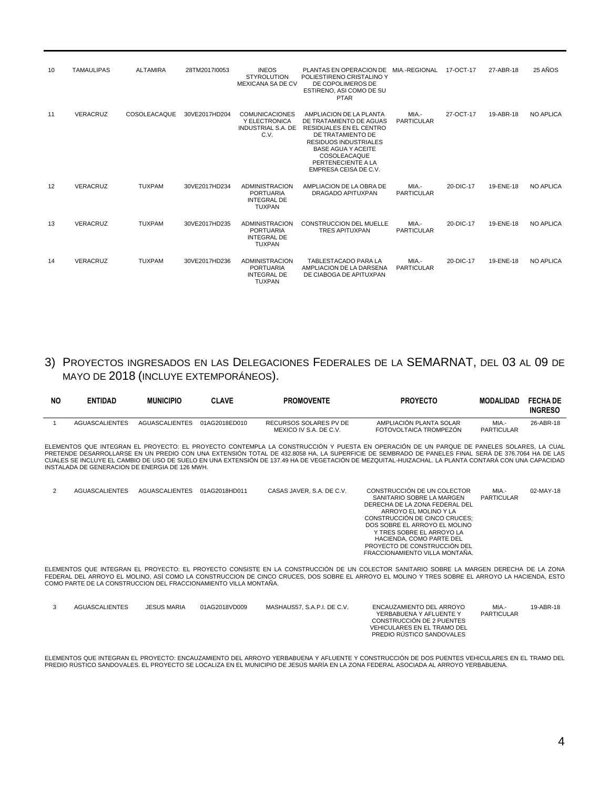| 10 | <b>TAMAULIPAS</b> | <b>ALTAMIRA</b> | 28TM2017I0053 | <b>INEOS</b><br><b>STYROLUTION</b><br>MEXICANA SA DE CV                          | PLANTAS EN OPERACION DE MIA.-REGIONAL<br>POLIESTIRENO CRISTALINO Y<br>DE COPOLIMEROS DE<br>ESTIRENO, ASI COMO DE SU<br><b>PTAR</b>                                                                                                    |                            | 17-OCT-17 | 27-ABR-18 | 25 AÑOS          |
|----|-------------------|-----------------|---------------|----------------------------------------------------------------------------------|---------------------------------------------------------------------------------------------------------------------------------------------------------------------------------------------------------------------------------------|----------------------------|-----------|-----------|------------------|
| 11 | <b>VERACRUZ</b>   | COSOLEACAQUE    | 30VE2017HD204 | <b>COMUNICACIONES</b><br>Y ELECTRONICA<br><b>INDUSTRIAL S.A. DE</b><br>C.V.      | AMPLIACION DE LA PLANTA<br>DE TRATAMIENTO DE AGUAS<br><b>RESIDUALES EN EL CENTRO</b><br>DE TRATAMIENTO DE<br><b>RESIDUOS INDUSTRIALES</b><br><b>BASE AGUA Y ACEITE</b><br>COSOLEACAQUE<br>PERTENECIENTE A LA<br>EMPRESA CEISA DE C.V. | MIA.-<br><b>PARTICULAR</b> | 27-OCT-17 | 19-ABR-18 | <b>NO APLICA</b> |
| 12 | <b>VERACRUZ</b>   | <b>TUXPAM</b>   | 30VE2017HD234 | <b>ADMINISTRACION</b><br><b>PORTUARIA</b><br><b>INTEGRAL DE</b><br><b>TUXPAN</b> | AMPLIACION DE LA OBRA DE<br>DRAGADO APITUXPAN                                                                                                                                                                                         | MIA.-<br><b>PARTICULAR</b> | 20-DIC-17 | 19-ENE-18 | <b>NO APLICA</b> |
| 13 | <b>VERACRUZ</b>   | <b>TUXPAM</b>   | 30VE2017HD235 | <b>ADMINISTRACION</b><br><b>PORTUARIA</b><br><b>INTEGRAL DE</b><br><b>TUXPAN</b> | <b>CONSTRUCCION DEL MUELLE</b><br><b>TRES APITUXPAN</b>                                                                                                                                                                               | MIA -<br><b>PARTICULAR</b> | 20-DIC-17 | 19-ENE-18 | <b>NO APLICA</b> |
| 14 | <b>VERACRUZ</b>   | <b>TUXPAM</b>   | 30VE2017HD236 | <b>ADMINISTRACION</b><br><b>PORTUARIA</b><br><b>INTEGRAL DE</b><br><b>TUXPAN</b> | TABLESTACADO PARA LA<br>AMPLIACION DE LA DARSENA<br>DE CIABOGA DE APITUXPAN                                                                                                                                                           | MIA.-<br><b>PARTICULAR</b> | 20-DIC-17 | 19-ENE-18 | <b>NO APLICA</b> |

# 3) PROYECTOS INGRESADOS EN LAS DELEGACIONES FEDERALES DE LA SEMARNAT, DEL 03 AL 09 DE MAYO DE 2018 (INCLUYE EXTEMPORÁNEOS).

| NO.          | <b>ENTIDAD</b>                                                   | <b>MUNICIPIO</b>      | <b>CLAVE</b>  | <b>PROMOVENTE</b>                                | <b>PROYECTO</b>                                                                                                                                                                                                                                                                                                                                                                                                                                      | <b>MODALIDAD</b>           | <b>FECHA DE</b><br><b>INGRESO</b> |
|--------------|------------------------------------------------------------------|-----------------------|---------------|--------------------------------------------------|------------------------------------------------------------------------------------------------------------------------------------------------------------------------------------------------------------------------------------------------------------------------------------------------------------------------------------------------------------------------------------------------------------------------------------------------------|----------------------------|-----------------------------------|
| $\mathbf{1}$ | <b>AGUASCALIENTES</b>                                            | <b>AGUASCALIENTES</b> | 01AG2018ED010 | RECURSOS SOLARES PV DE<br>MEXICO IV S.A. DE C.V. | AMPLIACIÓN PLANTA SOLAR<br>FOTOVOLTAICA TROMPEZÓN                                                                                                                                                                                                                                                                                                                                                                                                    | MIA.-<br><b>PARTICULAR</b> | 26-ABR-18                         |
|              | INSTALADA DE GENERACION DE ENERGIA DE 126 MWH.                   |                       |               |                                                  | ELEMENTOS QUE INTEGRAN EL PROYECTO: EL PROYECTO CONTEMPLA LA CONSTRUCCIÓN Y PUESTA EN OPERACIÓN DE UN PARQUE DE PANELES SOLARES. LA CUAL<br>PRETENDE DESARROLLARSE EN UN PREDIO CON UNA EXTENSIÓN TOTAL DE 432.8058 HA. LA SUPERFICIE DE SEMBRADO DE PANELES FINAL SERÁ DE 376.7064 HA DE LAS<br>CUALES SE INCLUYE EL CAMBIO DE USO DE SUELO EN UNA EXTENSIÓN DE 137.49 HA DE VEGETACIÓN DE MEZQUITAL-HUIZACHAL. LA PLANTA CONTARÁ CON UNA CAPACIDAD |                            |                                   |
| 2            | <b>AGUASCALIENTES</b>                                            | <b>AGUASCALIENTES</b> | 01AG2018HD011 | CASAS JAVER, S.A. DE C.V.                        | CONSTRUCCIÓN DE UN COLECTOR<br>SANITARIO SOBRE LA MARGEN<br>DERECHA DE LA ZONA FEDERAL DEL<br>ARROYO EL MOLINO Y LA<br>CONSTRUCCIÓN DE CINCO CRUCES:<br>DOS SOBRE EL ARROYO EL MOLINO<br>Y TRES SOBRE EL ARROYO LA<br>HACIENDA, COMO PARTE DEL<br>PROYECTO DE CONSTRUCCIÓN DEL<br>FRACCIONAMIENTO VILLA MONTAÑA.                                                                                                                                     | MIA.-<br><b>PARTICULAR</b> | 02-MAY-18                         |
|              | COMO PARTE DE LA CONSTRUCCION DEL FRACCIONAMIENTO VILLA MONTAÑA. |                       |               |                                                  | ELEMENTOS QUE INTEGRAN EL PROYECTO: EL PROYECTO CONSISTE EN LA CONSTRUCCIÓN DE UN COLECTOR SANITARIO SOBRE LA MARGEN DERECHA DE LA ZONA<br>FEDERAL DEL ARROYO EL MOLINO. ASÍ COMO LA CONSTRUCCION DE CINCO CRUCES. DOS SOBRE EL ARROYO EL MOLINO Y TRES SOBRE EL ARROYO LA HACIENDA. ESTO                                                                                                                                                            |                            |                                   |
| 3            | <b>AGUASCALIENTES</b>                                            | <b>JESUS MARIA</b>    | 01AG2018VD009 | MASHAUS57, S.A.P.I. DE C.V.                      | ENCAUZAMIENTO DEL ARROYO<br>YERBABUENA Y AFLUENTE Y<br>CONSTRUCCIÓN DE 2 PUENTES<br>VEHICULARES EN EL TRAMO DEL<br>PREDIO RÚSTICO SANDOVALES                                                                                                                                                                                                                                                                                                         | MIA.-<br><b>PARTICULAR</b> | 19-ABR-18                         |

ELEMENTOS QUE INTEGRAN EL PROYECTO: ENCAUZAMIENTO DEL ARROYO YERBABUENA Y AFLUENTE Y CONSTRUCCION DE DOS PUENTES VEHICULARES EN EL TRAMO DEL<br>PREDIO RÚSTICO SANDOVALES. EL PROYECTO SE LOCALIZA EN EL MUNICIPIO DE JESÚS MARÍA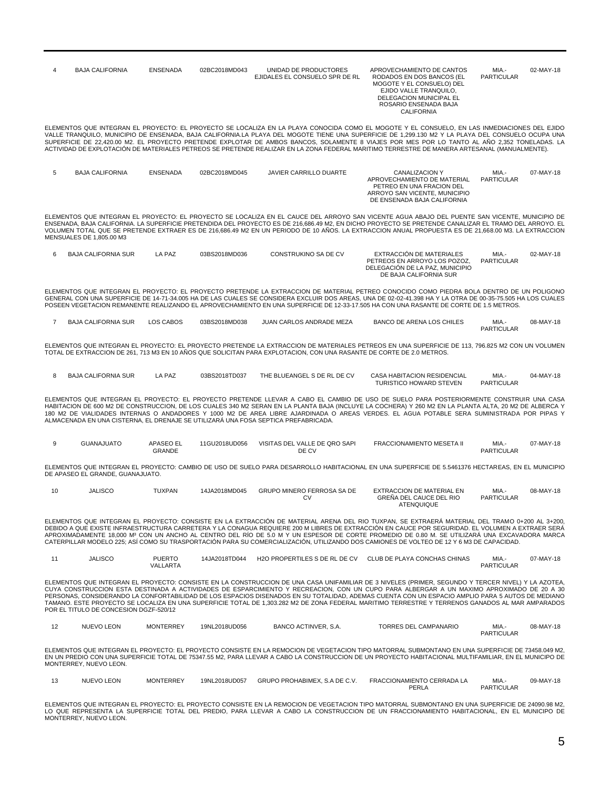|    | <b>BAJA CALIFORNIA</b>                 | <b>ENSENADA</b>                   | 02BC2018MD043 | UNIDAD DE PRODUCTORES<br>EJIDALES EL CONSUELO SPR DE RL                                                               | APROVECHAMIENTO DE CANTOS<br>RODADOS EN DOS BANCOS (EL<br>MOGOTE Y EL CONSUELO) DEL<br>EJIDO VALLE TRANQUILO,<br>DELEGACION MUNICIPAL EL<br>ROSARIO ENSENADA BAJA<br><b>CALIFORNIA</b>                                                                                                                                                                                                                                                                                                                                                                                                                  | MIA.-<br><b>PARTICULAR</b> | 02-MAY-18 |
|----|----------------------------------------|-----------------------------------|---------------|-----------------------------------------------------------------------------------------------------------------------|---------------------------------------------------------------------------------------------------------------------------------------------------------------------------------------------------------------------------------------------------------------------------------------------------------------------------------------------------------------------------------------------------------------------------------------------------------------------------------------------------------------------------------------------------------------------------------------------------------|----------------------------|-----------|
|    |                                        |                                   |               |                                                                                                                       | ELEMENTOS QUE INTEGRAN EL PROYECTO: EL PROYECTO SE LOCALIZA EN LA PLAYA CONOCIDA COMO EL MOGOTE Y EL CONSUELO, EN LAS INMEDIACIONES DEL EJIDO<br>VALLE TRANQUILO, MUNICIPIO DE ENSENADA, BAJA CALIFORNIA.LA PLAYA DEL MOGOTE TIENE UNA SUPERFICIE DE 1,299.130 M2 Y LA PLAYA DEL CONSUELO OCUPA UNA<br>SUPERFICIE DE 22,420.00 M2. EL PROYECTO PRETENDE EXPLOTAR DE AMBOS BANCOS, SOLAMENTE 8 VIAJES POR MES POR LO TANTO AL AÑO 2,352 TONELADAS. LA<br>ACTIVIDAD DE EXPLOTACIÓN DE MATERIALES PETREOS SE PRETENDE REALIZAR EN LA ZONA FEDERAL MARITIMO TERRESTRE DE MANERA ARTESANAL (MANUALMENTE).    |                            |           |
| 5  | <b>BAJA CALIFORNIA</b>                 | <b>ENSENADA</b>                   | 02BC2018MD045 | <b>JAVIER CARRILLO DUARTE</b>                                                                                         | <b>CANALIZACION Y</b><br>APROVECHAMIENTO DE MATERIAL<br>PETREO EN UNA FRACION DEL<br>ARROYO SAN VICENTE, MUNICIPIO<br>DE ENSENADA BAJA CALIFORNIA                                                                                                                                                                                                                                                                                                                                                                                                                                                       | MIA.-<br><b>PARTICULAR</b> | 07-MAY-18 |
|    | MENSUALES DE 1,805.00 M3               |                                   |               |                                                                                                                       | ELEMENTOS QUE INTEGRAN EL PROYECTO: EL PROYECTO SE LOCALIZA EN EL CAUCE DEL ARROYO SAN VICENTE AGUA ABAJO DEL PUENTE SAN VICENTE, MUNICIPIO DE<br>ENSENADA, BAJA CALIFORNIA. LA SUPERFICIE PRETENDIDA DEL PROYECTO ES DE 216,686.49 M2, EN DICHO PROYECTO SE PRETENDE CANALIZAR EL TRAMO DEL ARROYO. EL<br>VOLUMEN TOTAL QUE SE PRETENDE EXTRAER ES DE 216,686.49 M2 EN UN PERIODO DE 10 AÑOS. LA EXTRACCION ANUAL PROPUESTA ES DE 21,668.00 M3. LA EXTRACCION                                                                                                                                          |                            |           |
| 6  | <b>BAJA CALIFORNIA SUR</b>             | LA PAZ                            | 03BS2018MD036 | CONSTRUKINO SA DE CV                                                                                                  | EXTRACCIÓN DE MATERIALES<br>PETREOS EN ARROYO LOS POZOZ,<br>DELEGACIÓN DE LA PAZ, MUNICIPIO<br>DE BAJA CALIFORNIA SUR                                                                                                                                                                                                                                                                                                                                                                                                                                                                                   | MIA.-<br><b>PARTICULAR</b> | 02-MAY-18 |
|    |                                        |                                   |               |                                                                                                                       | ELEMENTOS QUE INTEGRAN EL PROYECTO: EL PROYECTO PRETENDE LA EXTRACCION DE MATERIAL PETREO CONOCIDO COMO PIEDRA BOLA DENTRO DE UN POLIGONO<br>GENERAL CON UNA SUPERFICIE DE 14-71-34.005 HA DE LAS CUALES SE CONSIDERA EXCLUIR DOS AREAS, UNA DE 02-02-41.398 HA Y LA OTRA DE 00-35-75.505 HA LOS CUALES<br>POSEEN VEGETACION REMANENTE REALIZANDO EL APROVECHAMIENTO EN UNA SUPERFICIE DE 12-33-17.505 HA CON UNA RASANTE DE CORTE DE 1.5 METROS.                                                                                                                                                       |                            |           |
| 7  | <b>BAJA CALIFORNIA SUR</b>             | <b>LOS CABOS</b>                  | 03BS2018MD038 | JUAN CARLOS ANDRADE MEZA                                                                                              | <b>BANCO DE ARENA LOS CHILES</b>                                                                                                                                                                                                                                                                                                                                                                                                                                                                                                                                                                        | MIA.-<br><b>PARTICULAR</b> | 08-MAY-18 |
|    |                                        |                                   |               | TOTAL DE EXTRACCION DE 261, 713 M3 EN 10 AÑOS QUE SOLICITAN PARA EXPLOTACION, CON UNA RASANTE DE CORTE DE 2.0 METROS. | ELEMENTOS QUE INTEGRAN EL PROYECTO: EL PROYECTO PRETENDE LA EXTRACCION DE MATERIALES PETREOS EN UNA SUPERFICIE DE 113, 796.825 M2 CON UN VOLUMEN                                                                                                                                                                                                                                                                                                                                                                                                                                                        |                            |           |
| 8  | <b>BAJA CALIFORNIA SUR</b>             | LA PAZ                            | 03BS2018TD037 | THE BLUEANGEL S DE RL DE CV                                                                                           | CASA HABITACION RESIDENCIAL<br>TURISTICO HOWARD STEVEN                                                                                                                                                                                                                                                                                                                                                                                                                                                                                                                                                  | MIA.-<br><b>PARTICULAR</b> | 04-MAY-18 |
|    |                                        |                                   |               | ALMACENADA EN UNA CISTERNA, EL DRENAJE SE UTILIZARÀ UNA FOSA SEPTICA PREFABRICADA.                                    | ELEMENTOS QUE INTEGRAN EL PROYECTO: EL PROYECTO PRETENDE LLEVAR A CABO EL CAMBIO DE USO DE SUELO PARA POSTERIORMENTE CONSTRUIR UNA CASA<br>HABITACION DE 600 M2 DE CONSTRUCCION, DE LOS CUALES 340 M2 SERAN EN LA PLANTA BAJA (INCLUYE LA COCHERA) Y 260 M2 EN LA PLANTA ALTA, 20 M2 DE ALBERCA Y<br>180 M2 DE VIALIDADES INTERNAS O ANDADORES Y 1000 M2 DE AREA LIBRE AJARDINADA O AREAS VERDES. EL AGUA POTABLE SERA SUMINISTRADA POR PIPAS Y                                                                                                                                                         |                            |           |
| 9  | <b>GUANAJUATO</b>                      | <b>APASEO EL</b><br><b>GRANDE</b> | 11GU2018UD056 | VISITAS DEL VALLE DE QRO SAPI<br>DE CV                                                                                | FRACCIONAMIENTO MESETA II                                                                                                                                                                                                                                                                                                                                                                                                                                                                                                                                                                               | MIA.-<br><b>PARTICULAR</b> | 07-MAY-18 |
|    | DE APASEO EL GRANDE, GUANAJUATO.       |                                   |               |                                                                                                                       | ELEMENTOS QUE INTEGRAN EL PROYECTO: CAMBIO DE USO DE SUELO PARA DESARROLLO HABITACIONAL EN UNA SUPERFICIE DE 5.5461376 HECTAREAS, EN EL MUNICIPIO                                                                                                                                                                                                                                                                                                                                                                                                                                                       |                            |           |
| 10 | <b>JALISCO</b>                         | <b>TUXPAN</b>                     | 14JA2018MD045 | GRUPO MINERO FERROSA SA DE<br>CV                                                                                      | EXTRACCION DE MATERIAL EN<br>GREÑA DEL CAUCE DEL RIO<br>ATENQUIQUE                                                                                                                                                                                                                                                                                                                                                                                                                                                                                                                                      | MIA.-<br><b>PARTICULAR</b> | 08-MAY-18 |
|    |                                        |                                   |               |                                                                                                                       | ELEMENTOS QUE INTEGRAN EL PROYECTO: CONSISTE EN LA EXTRACCIÓN DE MATERIAL ARENA DEL RIO TUXPAN, SE EXTRAERÁ MATERIAL DEL TRAMO 0+200 AL 3+200,<br>DEBIDO A QUE EXISTE INFRAESTRUCTURA CARRETERA Y LA CONAGUA REQUIERE 200 M LIBRES DE EXTRACCIÓN EN CAUCE POR SEGURIDAD. EL VOLUMEN A EXTRAER SERÁ<br>APROXIMADAMENTE 18.000 M3 CON UN ANCHO AL CENTRO DEL RÍO DE 5.0 M Y UN ESPESOR DE CORTE PROMEDIO DE 0.80 M. SE UTILIZARÁ UNA EXCAVADORA MARCA<br>CATERPILLAR MODELO 225; ASÍ COMO SU TRASPORTACIÓN PARA SU COMERCIALIZACIÓN, UTILIZANDO DOS CAMIONES DE VOLTEO DE 12 Y 6 M3 DE CAPACIDAD.         |                            |           |
| 11 | <b>JALISCO</b>                         | <b>PUERTO</b><br>VALLARTA         | 14JA2018TD044 | <b>H2O PROPERTILES S DE RL DE CV</b>                                                                                  | CLUB DE PLAYA CONCHAS CHINAS                                                                                                                                                                                                                                                                                                                                                                                                                                                                                                                                                                            | MIA.-<br><b>PARTICULAR</b> | 07-MAY-18 |
|    | POR EL TITULO DE CONCESION DGZF-520/12 |                                   |               |                                                                                                                       | ELEMENTOS QUE INTEGRAN EL PROYECTO: CONSISTE EN LA CONSTRUCCION DE UNA CASA UNIFAMILIAR DE 3 NIVELES (PRIMER, SEGUNDO Y TERCER NIVEL) Y LA AZOTEA,<br>CUYA CONSTRUCCION ESTA DESTINADA A ACTIVIDADES DE ESPARCIMIENTO Y RECREACION, CON UN CUPO PARA ALBERGAR A UN MAXIMO APROXIMADO DE 20 A 30<br>PERSONAS, CONSIDERANDO LA CONFORTABILIDAD DE LOS ESPACIOS DISENADOS EN SU TOTALIDAD, ADEMAS CUENTA CON UN ESPACIO AMPLIO PARA 5 AUTOS DE MEDIANO<br>TAMANO. ESTE PROYECTO SE LOCALIZA EN UNA SUPERFICIE TOTAL DE 1,303.282 M2 DE ZONA FEDERAL MARITIMO TERRESTRE Y TERRENOS GANADOS AL MAR AMPARADOS |                            |           |
| 12 | <b>NUEVO LEON</b>                      | <b>MONTERREY</b>                  | 19NL2018UD056 | BANCO ACTINVER, S.A.                                                                                                  | <b>TORRES DEL CAMPANARIO</b>                                                                                                                                                                                                                                                                                                                                                                                                                                                                                                                                                                            | MIA.-<br><b>PARTICULAR</b> | 08-MAY-18 |
|    | MONTERREY, NUEVO LEON.                 |                                   |               |                                                                                                                       | ELEMENTOS QUE INTEGRAN EL PROYECTO: EL PROYECTO CONSISTE EN LA REMOCION DE VEGETACION TIPO MATORRAL SUBMONTANO EN UNA SUPERFICIE DE 73458.049 M2<br>EN UN PREDIO CON UNA SUPERFICIE TOTAL DE 75347.55 M2, PARA LLEVAR A CABO LA CONSTRUCCION DE UN PROYECTO HABITACIONAL MULTIFAMILIAR, EN EL MUNICIPO DE                                                                                                                                                                                                                                                                                               |                            |           |
| 13 | <b>NUEVO LEON</b>                      | <b>MONTERREY</b>                  | 19NL2018UD057 | GRUPO PROHABIMEX, S.A DE C.V.                                                                                         | FRACCIONAMIENTO CERRADA LA<br>PERLA                                                                                                                                                                                                                                                                                                                                                                                                                                                                                                                                                                     | MIA.-<br><b>PARTICULAR</b> | 09-MAY-18 |

ELEMENTOS QUE INTEGRAN EL PROYECTO: EL PROYECTO CONSISTE EN LA REMOCION DE VEGETACION TIPO MATORRAL SUBMONTANO EN UNA SUPERFICIE DE 24090.98 M2,<br>LO QUE REPRESENTA LA SUPERFICIE TOTAL DEL PREDIO, PARA LLEVAR A CABO LA CONST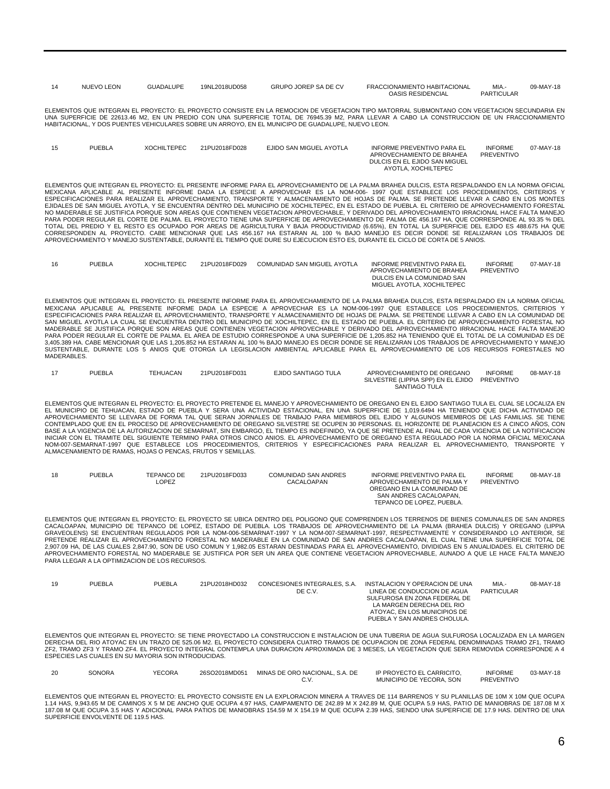| <b>NUEVO LEON</b> | <b>GUADALUPE</b> | 19NL2018UD058 | <b>GRUPO JOREP SA DE CV</b> | FRACCIONAMIENTO HABITACIONAL | MIA.              | 09-MAY-18 |
|-------------------|------------------|---------------|-----------------------------|------------------------------|-------------------|-----------|
|                   |                  |               |                             | <b>OASIS RESIDENCIAL</b>     | <b>PARTICULAR</b> |           |

ELEMENTOS QUE INTEGRAN EL PROYECTO: EL PROYECTO CONSISTE EN LA REMOCION DE VEGETACION TIPO MATORRAL SUBMONTANO CON VEGETACION SECUNDARIA EN UNA SUPERFICIE DE 22613.46 M2, EN UN PREDIO CON UNA SUPERFICIE TOTAL DE 76945.39 M2, PARA LLEVAR A CABO LA CONSTRUCCION DE UN FRACCIONAMIENTO<br>HABITACIONAL, Y DOS PUENTES VEHICULARES SOBRE UN ARROYO, EN EL MUNICIPO DE GUADA

| 15 | <b>PUEBLA</b> | <b>XOCHILTEPEC</b> | 21PU2018FD028 | EJIDO SAN MIGUEL AYOTLA | <b>INFORME PREVENTIVO PARA EL</b><br>APROVECHAMIENTO DE BRAHEA<br>DULCIS EN EL EJIDO SAN MIGUEL | <b>INFORME</b><br>PREVENTIVO | 07-MAY-18 |
|----|---------------|--------------------|---------------|-------------------------|-------------------------------------------------------------------------------------------------|------------------------------|-----------|
|    |               |                    |               |                         | AYOTLA, XOCHILTEPEC                                                                             |                              |           |

ELEMENTOS QUE INTEGRAN EL PROYECTO: EL PRESENTE INFORME PARA EL APROVECHAMIENTO DE LA PALMA BRAHEA DULCIS, ESTA RESPALDANDO EN LA NORMA OFICIAL MEXICANA APLICABLE AL PRESENTE INFORME DADA LA ESPECIE A APROVECHAR ES LA NOM-006- 1997 QUE ESTABLECE LOS PROCEDIMIENTOS, CRITERIOS Y<br>ESPECIFICACIONES PARA REALIZAR EL APROVECHAMIENTO, TRANSPORTE Y ALMACENAMIENTO DE HOJAS EJIDALES DE SAN MIGUEL AYOTLA, Y SE ENCUENTRA DENTRO DEL MUNICIPIO DE XOCHILTEPEC, EN EL ESTADO DE PUEBLA. EL CRITERIO DE APROVECHAMIENTO FORESTAL NO MADERABLE SE JUSTIFICA PORQUE SON AREAS QUE CONTIENEN VEGETACION APROVECHABLE, Y DERIVADO DEL APROVECHAMIENTO IRRACIONAL HACE FALTA MANEJO<br>PARA PODER REGULAR EL CORTE DE PALMA. EL PROYECTO TIENE UNA SUPERFICIE DE APROVE TOTAL DEL PREDIO Y EL RESTO ES OCUPADO POR AREAS DE AGRICULTURA Y BAJA PRODUCTIVIDAD (6.65%), EN TOTAL LA SUPERFICIE DEL EJIDO ES 488.675 HA QUE<br>CORRESPONDEN AL PROYECTO. CABE MENCIONAR QUE LAS 456.167 HA ESTARAN AL 100 %

| 16 | PUEBLA | <b>XOCHILTEPEC</b> | 21PU2018FD029 | COMUNIDAD SAN MIGUEL AYOTLA | INFORME PREVENTIVO PARA EL | <b>INFORME</b> | 07-MAY-18 |
|----|--------|--------------------|---------------|-----------------------------|----------------------------|----------------|-----------|
|    |        |                    |               |                             | APROVECHAMIENTO DE BRAHEA  | PREVENTIVO     |           |
|    |        |                    |               |                             | DULCIS EN LA COMUNIDAD SAN |                |           |
|    |        |                    |               |                             | MIGUEL AYOTLA, XOCHILTEPEC |                |           |

ELEMENTOS QUE INTEGRAN EL PROYECTO: EL PRESENTE INFORME PARA EL APROVECHAMIENTO DE LA PALMA BRAHEA DULCIS, ESTA RESPALDADO EN LA NORMA OFICIAL<br>MEXICANA APLICABLE AL PRESENTE INFORME DADA LA ESPECIE A APROVECHAR ES LA NOM-0 PARA PODER REGULAR EL CORTE DE PALMA. EL AREA DE ESTUDIO CORRESPONDE A UNA SUPERFICIE DE 1,205.852 HA TENIENDO QUE EL TOTAL DE LA COMUNIDAD ES DE<br>3,405.389 HA. CABE MENCIONAR QUE LAS 1,205.852 HA ESTARAN AL 100 % BAJO MANE SUSTENTABLE, DURANTE LOS 5 ANIOS QUE OTORGA LA LEGISLACION AMBIENTAL APLICABLE PARA EL APROVECHAMIENTO DE LOS RECURSOS FORESTALES NO MADERABLES.

| <b>PUEBLA</b> | <b>TEHUACAN</b> | 21PU2018FD031 | EJIDO SANTIAGO TULA | APROVECHAMIENTO DE OREGANO         | <b>INFORME</b> | 08-MAY-18 |
|---------------|-----------------|---------------|---------------------|------------------------------------|----------------|-----------|
|               |                 |               |                     | SILVESTRE (LIPPIA SPP) EN EL EJIDO | PREVENTIVO     |           |
|               |                 |               |                     | SANTIAGO TULA                      |                |           |

ELEMENTOS QUE INTEGRAN EL PROYECTO: EL PROYECTO PRETENDE EL MANEJO Y APROVECHAMIENTO DE OREGANO EN EL EJIDO SANTIAGO TULA EL CUAL SE LOCALIZA EN EL MUNICIPIO DE TEHUACAN, ESTADO DE PUEBLA Y SERA UNA ACTIVIDAD ESTACIONAL, EN UNA SUPERFICIE DE 1,019.6494 HA TENIENDO QUE DICHA ACTIVIDAD DE<br>APROVECHAMIENTO SE LLEVARA DE FORMA TAL QUE SERAN JORNALES DE TRABAJO PARA MIEM BASE A LA VIGENCIA DE LA AUTORIZACION DE SEMARNAT, SIN EMBARGO, EL TIEMPO ES INDEFINIDO, YA QUE SE PRETENDE AL FINAL DE CADA VIGENCIA DE LA NOTIFICACION<br>INICIAR CON EL TRAMITE DEL SIGUIENTE TERMINO PARA OTROS ONIOS. EL APR ALMACENAMIENTO DE RAMAS, HOJAS O PENCAS, FRUTOS Y SEMILLAS.

| 18 | <b>PUEBLA</b> | TEPANCO DE | 21PU2018FD033 | COMUNIDAD SAN ANDRES | INFORME PREVENTIVO PARA EL | <b>INFORME</b>    | 08-MAY-18 |
|----|---------------|------------|---------------|----------------------|----------------------------|-------------------|-----------|
|    |               | LOPEZ      |               | CACALOAPAN           | APROVECHAMIENTO DE PALMA Y | <b>PREVENTIVO</b> |           |
|    |               |            |               |                      | OREGANO EN LA COMUNIDAD DE |                   |           |
|    |               |            |               |                      | SAN ANDRES CACALOAPAN.     |                   |           |
|    |               |            |               |                      | TEPANCO DE LOPEZ, PUEBLA.  |                   |           |
|    |               |            |               |                      |                            |                   |           |

ELEMENTOS QUE INTEGRAN EL PROYECTO: EL PROYECTO SE UBICA DENTRO DEL POLIGONO QUE COMPRENDEN LOS TERRENOS DE BIENES COMUNALES DE SAN ANDRES CACALOAPAN, MUNICIPIO DE TEPANCO DE LOPEZ, ESTADO DE PUEBLA. LOS TRABAJOS DE APROVECHAMIENTO DE LA PALMA (BRAHEA DULCIS) Y OREGANO (LIPPIA GRAVEOLENS) SE ENCUENTRAN REGULADOS POR LA NOM-006-SEMARNAT-1997 Y LA NOM-007-SEMARNAT-1997, RESPECTIVAMENTE Y CONSIDERANDO LO ANTERIOR, SE<br>PRETENDE REALIZAR EL APROVECHAMIENTO FORESTAL NO MADERABLE EN LA COMUNIDAD DE SAN 2,907.09 HA, DE LAS CUALES 2,847.90, SON DE USO COMUN Y 1,982.05 ESTARAN DESTINADAS PARA EL APROVECHAMIENTO, DIVIDIDAS EN 5 ANUALIDADES. EL CRITERIO DE<br>APROVECHAMIENTO FORESTAL NO MADERABLE SE JUSTIFICA POR SER UN AREA QUE PARA LLEGAR A LA OPTIMIZACION DE LOS RECURSOS.

| 19 | <b>PUEBLA</b> | <b>PUEBLA</b> | 21PU2018HD032 | CONCESIONES INTEGRALES, S.A.<br>DE C.V. | INSTALACION Y OPERACION DE UNA<br>LINEA DE CONDUCCION DE AGUA<br>SULFUROSA EN ZONA FEDERAL DE<br>LA MARGEN DERECHA DEL RIO<br>ATOYAC. EN LOS MUNICIPIOS DE<br>PUEBLA Y SAN ANDRES CHOLULA. | MIA -<br>PARTICULAR | 08-MAY-18 |
|----|---------------|---------------|---------------|-----------------------------------------|--------------------------------------------------------------------------------------------------------------------------------------------------------------------------------------------|---------------------|-----------|
|    |               |               |               |                                         | ELEMENTOS QUE INTEGRAN EL PROYECTO: SE TIENE PROYECTADO LA CONSTRUCCION E INSTALACION DE UNA TUBERIA DE AGUA SULFUROSA LOCALIZADA EN LA MARGEN                                             |                     |           |

ELEMENTOS QUE INTEGRAN EL PROYECTO: SE TIENE PROYECTADO LA CONSTRUCCION E INSTALACION DE UNA TUBERIA DE AGUA SULFUROSA LOCALIZADA EN LA MARGEN<br>DERECHA DEL RIO ATOYAC EN UN TRAZO DE 525.06 M2. EL PROYECTO CONSIDERA CUATRO T ZF2, TRAMO ZF3 Y TRAMO ZF4. EL PROYECTO INTEGRAL CONTEMPLA UNA DURACION APROXIMADA DE 3 MESES, LA VEGETACION QUE SERA REMOVIDA CORRESPONDE A 4<br>ESPECIES LAS CUALES EN SU MAYORIA SON INTRODUCIDAS.

| YECORA<br>26SO2018MD051<br><b>SONORA</b><br>MINAS DE ORO NACIONAL, S.A. DE<br>20 | IP PROYECTO EL CARRICITO.<br>MUNICIPIO DE YECORA, SON | <b>INFORME</b><br>$03-MAY-18$<br>PREVENTIVO |
|----------------------------------------------------------------------------------|-------------------------------------------------------|---------------------------------------------|
|----------------------------------------------------------------------------------|-------------------------------------------------------|---------------------------------------------|

ELEMENTOS QUE INTEGRAN EL PROYECTO: EL PROYECTO CONSISTE EN LA EXPLORACION MINERA A TRAVES DE 114 BARRENOS Y SU PLANILLAS DE 10M X 10M QUE OCUPA<br>1.14 HAS, 9,943.65 M DE CAMINOS X 5 M DE ANCHO QUE OCUPA 4.97 HAS, CAMPAMENTO 187.08 M QUE OCUPA 3.5 HAS Y ADICIONAL PARA PATIOS DE MANIOBRAS 154.59 M X 154.19 M QUE OCUPA 2.39 HAS, SIENDO UNA SUPERFICIE DE 17.9 HAS. DENTRO DE UNA SUPERFICIE ENVOLVENTE DE 119.5 HAS.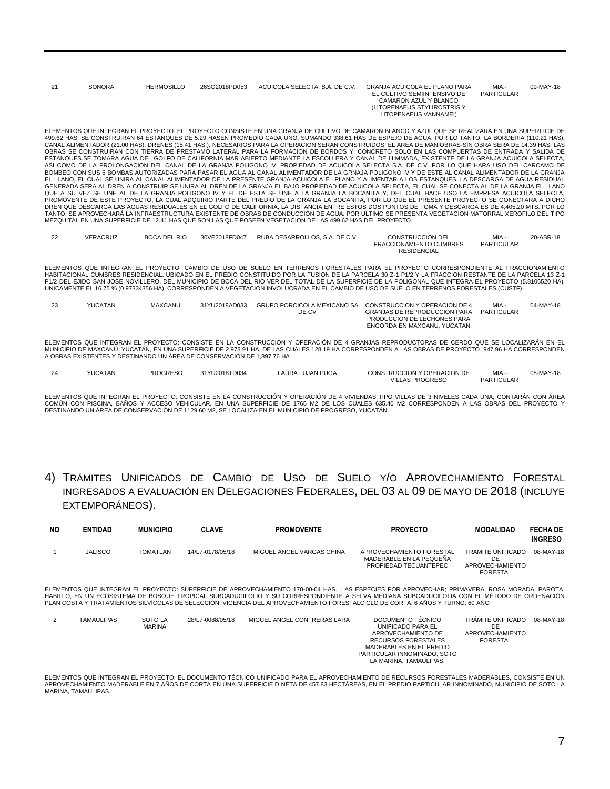| 21 | SONORA | <b>HERMOSILLO</b> | 26SO2018PD053 | ACUICOLA SELECTA, S.A. DE C.V. | <b>GRANJA ACUICOLA EL PLANO PARA</b><br>EL CULTIVO SEMIINTENSIVO DE<br>CAMARON AZUL Y BLANCO<br>(LITOPENAEUS STYLIROSTRIS Y<br>LITOPENAEUS VANNAMEI) | MIA.-<br>PARTICULAR | 09-MAY-18 |
|----|--------|-------------------|---------------|--------------------------------|------------------------------------------------------------------------------------------------------------------------------------------------------|---------------------|-----------|
|    |        |                   |               |                                |                                                                                                                                                      |                     |           |

ELEMENTOS QUE INTEGRAN EL PROYECTO: EL PROYECTO CONSISTE EN UNA GRANJA DE CULTIVO DE CAMARON BLANCO Y AZUL QUE SE REALIZARA EN UNA SUPERFICIE DE 499.62 HAS. SE CONSTRUIRAN 64 ESTANQUES DE 5.29 HASEN PROMEDIO CADA UNO, SUMANDO 338.61 HAS DE ESPEJO DE AGUA, POR LO TANTO, LA BORDERIA (110.21 HAS),<br>CANAL ALIMENTADOR (21.00 HAS), DRENES (15.41 HAS.), NECESARIOS PARA LA OBRAS SE CONSTRUIRAN CON TIERRA DE PRESTAMO LATERAL PARA LA FORMACION DE BORDOS Y, CONCRETO SOLO EN LAS COMPUERTAS DE ENTRADA Y SALIDA DE<br>ESTANQUES.SE TOMARA AGUA DEL GOLFO DE CALIFORNIA MAR ABIERTO MEDIANTE LA ESCOLLERA Y ASI COMO DE LA PROLONGACION DEL CANAL DE LA GRANJA POLIGONO IV, PROPIEDAD DE ACUICOLA SELECTA S.A. DE C.V. POR LO QUE HARA USO DEL CARCAMO DE BOMBEO CON SUS 6 BOMBAS AUTORIZADAS PARA PASAR EL AGUA AL CANAL ALIMENTADOR DE LA GRNAJA POLIGONO IV Y DE ESTE AL CANAL ALIMENTADOR DE LA GRANJA<br>EL LLANO, EL CUAL SE UNIRA AL CANAL ALIMENTADOR DE LA PRESENTE GRANJA ACUICOL GENERADA SERA AL DREN A CONSTRUIR SE UNIRA AL DREN DE LA GRANJA EL BAJO PROPIEDAD DE ACUICOLA SELECTA, EL CUAL SE CONECTA AL DE LA GRANJA EL LLANO<br>QUE A SU VEZ SE UNE AL DE LA GRANJA POLIGONO IV Y EL DE ESTA SE UNE A LA GR PROMOVENTE DE ESTE PROYECTO, LA CUAL ADQUIRIO PARTE DEL PREDIO DE LA GRANJA LA BOCANITA, POR LO QUE EL PRESENTE PROYECTO SE CONECTARA A DICHO DREN QUE DESCARGA LAS AGUAS RESIDUALES EN EL GOLFO DE CALIFORNIA, LA DISTANCIA ENTRE ESTOS DOS PUNTOS DE TOMA Y DESCARGA ES DE 4,405.20 MTS. POR LO<br>TANTO, SE APROVECHARÁ LA INFRAESTRUCTURA EXISTENTE DE OBRAS DE CONDUCCION MEZQUITAL EN UNA SUPERFICIE DE 12.41 HAS QUE SON LAS QUE POSEEN VEGETACION DE LAS 499.62 HAS DEL PROYECTO.

| ົດຕ<br>ے | VERACRUZ | <b>BOCA DEL RIO</b> | 30VE2018FD047 | RUBA DESARROLLOS, S.A. DE C.V. | CONSTRUCCIÓN DEL               | MIA.              | 20-ABR-18 |
|----------|----------|---------------------|---------------|--------------------------------|--------------------------------|-------------------|-----------|
|          |          |                     |               |                                | <b>FRACCIONAMIENTO CUMBRES</b> | <b>PARTICULAR</b> |           |
|          |          |                     |               |                                | <b>RESIDENCIAL</b>             |                   |           |

ELEMENTOS QUE INTEGRAN EL PROYECTO: CAMBIO DE USO DE SUELO EN TERRENOS FORESTALES PARA EL PROYECTO CORRESPONDIENTE AL FRACCIONAMIENTO<br>HABITACIONAL CUMBRES RESIDENCIAL. UBICADO EN EL PREDIO CONSTITUIDO POR LA PAROFO EL PARO UNICAMENTE EL 16.75 % (0.97334356 HA), CORRESPONDEN A VEGETACION INVOLUCRADA EN EL CAMBIO DE USO DE SUELO EN TERRENOS FORESTALES (CUSTF).

| 23 | YUCATÁN | MAXCANÚ | 31YU2018AD033 |       | GRUPO PORCICOLA MEXICANO SA CONSTRUCCION Y OPERACION DE 4 | MIA.-      | 04-MAY-18 |
|----|---------|---------|---------------|-------|-----------------------------------------------------------|------------|-----------|
|    |         |         |               | DE CV | GRANJAS DE REPRODUCCION PARA                              | PARTICULAR |           |
|    |         |         |               |       | PRODUCCION DE LECHONES PARA                               |            |           |
|    |         |         |               |       | ENGORDA EN MAXCANU. YUCATAN                               |            |           |

ELEMENTOS QUE INTEGRAN EL PROYECTO: CONSISTE EN LA CONSTRUCCIÓN Y OPERACIÓN DE 4 GRANJAS REPRODUCTORAS DE CERDO QUE SE LOCALIZARÁN EN EL MUNICIPIO DE MAXCANÚ, YUCATÁN, EN UNA SUPERFICIE DE 2,973.91 HA, DE LAS CUALES 128.19 HA CORRESPONDEN A LAS OBRAS DE PROYECTO, 947.96 HA CORRESPONDEN A OBRAS EXISTENTES Y DESTINANDO UN ÁREA DE CONSERVACIÓN DE 1,897.76 HA

| 24 | YUCATÁN | <b>PROGRESO</b> | 31YU2018TD034 | LAURA LUJAN PUGA | CONSTRUCCION Y OPERACION DE | MIA.              | 08-MAY-18 |
|----|---------|-----------------|---------------|------------------|-----------------------------|-------------------|-----------|
|    |         |                 |               |                  | <b>VILLAS PROGRESO</b>      | <b>PARTICULAR</b> |           |

ELEMENTOS QUE INTEGRAN EL PROYECTO: CONSISTE EN LA CONSTRUCCIÓN Y OPERACIÓN DE 4 VIVIENDAS TIPO VILLAS DE 3 NIVELES CADA UNA, CONTARÁN CON ÁREA COMÚN CON PISCINA, BAÑOS Y ACCESO VEHICULAR, EN UNA SUPERFICIE DE 1765 M2 DE LOS CUALES 635.40 M2 CORRESPONDEN A LAS OBRAS DEL PROYECTO Y DESTINANDO UN ÁREA DE CONSERVACIÓN DE 1129.60 M2, SE LOCALIZA EN EL MUNICIPIO DE PROGRESO, YUCATÁN.

4) TRÁMITES UNIFICADOS DE CAMBIO DE USO DE SUELO Y/O APROVECHAMIENTO FORESTAL INGRESADOS A EVALUACIÓN EN DELEGACIONES FEDERALES, DEL 03 AL 09 DE MAYO DE 2018 (INCLUYE EXTEMPORÁNEOS).

| <b>NO</b>                                                                                                                                    | <b>ENTIDAD</b> | <b>MUNICIPIO</b> | <b>CLAVE</b>     | <b>PROMOVENTE</b>         | <b>PROYECTO</b>                                                              | MODALIDAD                                              | <b>FECHA DE</b><br><b>INGRESO</b> |  |  |  |
|----------------------------------------------------------------------------------------------------------------------------------------------|----------------|------------------|------------------|---------------------------|------------------------------------------------------------------------------|--------------------------------------------------------|-----------------------------------|--|--|--|
|                                                                                                                                              | <b>JALISCO</b> | <b>TOMATLAN</b>  | 14/L7-0178/05/18 | MIGUEL ANGEL VARGAS CHINA | APROVECHAMIENTO FORESTAL<br>MADERABLE EN LA PEQUEÑA<br>PROPIEDAD TECUANTEPEC | TRÁMITE UNIFICADO<br>DE<br>APROVECHAMIENTO<br>FORESTAL | 08-MAY-18                         |  |  |  |
| ELEMENTOS QUE INTEGRAN EL PROYECTO: SUPERFICIE DE APROVECHAMIENTO 170-00-04 HAS LAS ESPECIES POR APROVECHAR: PRIMAVERA. ROSA MORADA. PAROTA. |                |                  |                  |                           |                                                                              |                                                        |                                   |  |  |  |

ELEMENTOS QUE INTEGRAN EL PROYECTO: SUPERFICIE DE APROVECHAMIENTO 170-00-04 HAS., LAS ESPECIES POR APROVECHAR; PRIMAVERA, ROSA MORADA, PAROTA,<br>HABILLO, EN UN ECOSISTEMA DE BOSQUE TROPICAL SUBCADUCIFOLIO Y SU CORRESPONDIENT

| <u>.</u> | TAMAULIPAS | SOTO LA<br><b>MARINA</b> | 28/L7-0088/05/18 | MIGUEL ANGEL CONTRERAS LARA | DOCUMENTO TECNICO<br>UNIFICADO PARA EL<br>APROVECHAMIENTO DE<br>RECURSOS FORESTALES<br>MADERABLES EN EL PREDIO<br>PARTICULAR INNOMINADO, SOTO<br>LA MARINA, TAMAULIPAS. | TRAMITE UNIFICADO<br>DE<br>APROVECHAMIENTO<br><b>FORESTAL</b> | 08-MAY-18 |
|----------|------------|--------------------------|------------------|-----------------------------|-------------------------------------------------------------------------------------------------------------------------------------------------------------------------|---------------------------------------------------------------|-----------|
|          |            |                          |                  |                             |                                                                                                                                                                         |                                                               |           |

ELEMENTOS QUE INTEGRAN EL PROYECTO: EL DOCUMENTO TÉCNICO UNIFICADO PARA EL APROVECHAMIENTO DE RECURSOS FORESTALES MADERABLES, CONSISTE EN UN APROVECHAMIENTO MADERABLE EN 7 AÑOS DE CORTA EN UNA SUPERFICIE D NETA DE 457.83 HECTÁREAS, EN EL PREDIO PARTICULAR INNOMINADO, MUNICIPIO DE SOTO LA MARINA, TAMAULIPAS.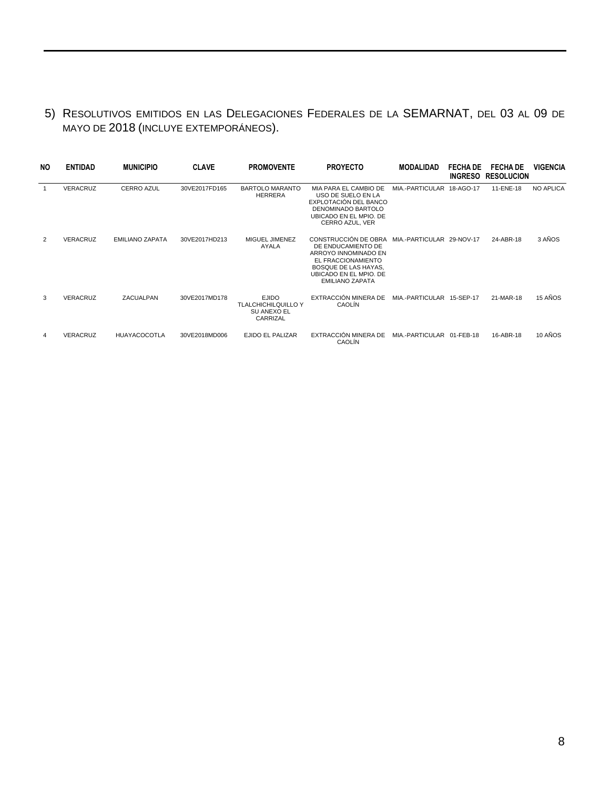## 5) RESOLUTIVOS EMITIDOS EN LAS DELEGACIONES FEDERALES DE LA SEMARNAT, DEL 03 AL 09 DE MAYO DE 2018 (INCLUYE EXTEMPORÁNEOS).

| NO. | <b>ENTIDAD</b>  | <b>MUNICIPIO</b>       | <b>CLAVE</b>  | <b>PROMOVENTE</b>                                                     | <b>PROYECTO</b>                                                                                                                                                                                | <b>MODALIDAD</b>          | <b>FECHA DE</b> | <b>FECHA DE</b><br>INGRESO RESOLUCION | VIGENCIA         |
|-----|-----------------|------------------------|---------------|-----------------------------------------------------------------------|------------------------------------------------------------------------------------------------------------------------------------------------------------------------------------------------|---------------------------|-----------------|---------------------------------------|------------------|
|     | <b>VERACRUZ</b> | <b>CERRO AZUL</b>      | 30VE2017FD165 | <b>BARTOLO MARANTO</b><br><b>HERRERA</b>                              | MIA PARA EL CAMBIO DE<br>USO DE SUELO EN LA<br>EXPLOTACIÓN DEL BANCO<br>DENOMINADO BARTOLO<br>UBICADO EN EL MPIO. DE<br>CERRO AZUL, VER                                                        | MIA.-PARTICULAR 18-AGO-17 |                 | 11-ENE-18                             | <b>NO APLICA</b> |
| 2   | <b>VERACRUZ</b> | <b>EMILIANO ZAPATA</b> | 30VE2017HD213 | MIGUEL JIMENEZ<br><b>AYALA</b>                                        | CONSTRUCCIÓN DE OBRA MIA.-PARTICULAR 29-NOV-17<br>DE ENDUCAMIENTO DE<br>ARROYO INNOMINADO EN<br>EL FRACCIONAMIENTO<br>BOSQUE DE LAS HAYAS.<br>UBICADO EN EL MPIO. DE<br><b>EMILIANO ZAPATA</b> |                           |                 | 24-ABR-18                             | 3 AÑOS           |
| 3   | <b>VERACRUZ</b> | ZACUALPAN              | 30VE2017MD178 | <b>EJIDO</b><br><b>TLALCHICHILQUILLO Y</b><br>SU ANEXO EL<br>CARRIZAL | EXTRACCIÓN MINERA DE<br>CAOLÍN                                                                                                                                                                 | MIA.-PARTICULAR 15-SEP-17 |                 | 21-MAR-18                             | 15 AÑOS          |
| 4   | <b>VERACRUZ</b> | <b>HUAYACOCOTLA</b>    | 30VE2018MD006 | <b>EJIDO EL PALIZAR</b>                                               | EXTRACCIÓN MINERA DE<br>CAOLÍN                                                                                                                                                                 | MIA.-PARTICULAR 01-FEB-18 |                 | 16-ABR-18                             | 10 AÑOS          |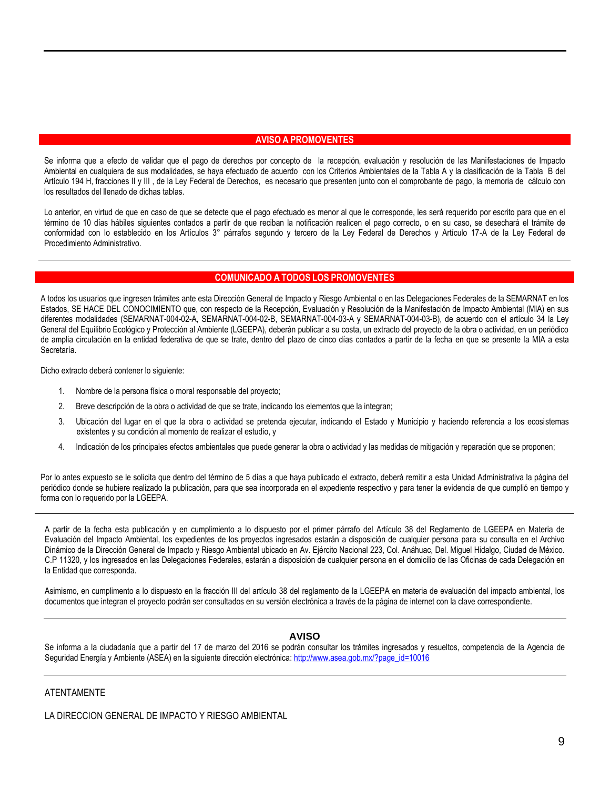#### **AVISO A PROMOVENTES**

Se informa que a efecto de validar que el pago de derechos por concepto de la recepción, evaluación y resolución de las Manifestaciones de Impacto Ambiental en cualquiera de sus modalidades, se haya efectuado de acuerdo con los Criterios Ambientales de la Tabla A y la clasificación de la Tabla B del Artículo 194 H, fracciones II y III , de la Ley Federal de Derechos, es necesario que presenten junto con el comprobante de pago, la memoria de cálculo con los resultados del llenado de dichas tablas.

Lo anterior, en virtud de que en caso de que se detecte que el pago efectuado es menor al que le corresponde, les será requerido por escrito para que en el término de 10 días hábiles siguientes contados a partir de que reciban la notificación realicen el pago correcto, o en su caso, se desechará el trámite de conformidad con lo establecido en los Artículos 3° párrafos segundo y tercero de la Ley Federal de Derechos y Artículo 17-A de la Ley Federal de Procedimiento Administrativo.

#### **COMUNICADO A TODOS LOS PROMOVENTES**

A todos los usuarios que ingresen trámites ante esta Dirección General de Impacto y Riesgo Ambiental o en las Delegaciones Federales de la SEMARNAT en los Estados, SE HACE DEL CONOCIMIENTO que, con respecto de la Recepción, Evaluación y Resolución de la Manifestación de Impacto Ambiental (MIA) en sus diferentes modalidades (SEMARNAT-004-02-A, SEMARNAT-004-02-B, SEMARNAT-004-03-A y SEMARNAT-004-03-B), de acuerdo con el artículo 34 la Ley General del Equilibrio Ecológico y Protección al Ambiente (LGEEPA), deberán publicar a su costa, un extracto del proyecto de la obra o actividad, en un periódico de amplia circulación en la entidad federativa de que se trate, dentro del plazo de cinco días contados a partir de la fecha en que se presente la MIA a esta Secretaría.

Dicho extracto deberá contener lo siguiente:

- 1. Nombre de la persona física o moral responsable del proyecto;
- 2. Breve descripción de la obra o actividad de que se trate, indicando los elementos que la integran;
- 3. Ubicación del lugar en el que la obra o actividad se pretenda ejecutar, indicando el Estado y Municipio y haciendo referencia a los ecosistemas existentes y su condición al momento de realizar el estudio, y
- 4. Indicación de los principales efectos ambientales que puede generar la obra o actividad y las medidas de mitigación y reparación que se proponen;

Por lo antes expuesto se le solicita que dentro del término de 5 días a que haya publicado el extracto, deberá remitir a esta Unidad Administrativa la página del periódico donde se hubiere realizado la publicación, para que sea incorporada en el expediente respectivo y para tener la evidencia de que cumplió en tiempo y forma con lo requerido por la LGEEPA.

A partir de la fecha esta publicación y en cumplimiento a lo dispuesto por el primer párrafo del Artículo 38 del Reglamento de LGEEPA en Materia de Evaluación del Impacto Ambiental, los expedientes de los proyectos ingresados estarán a disposición de cualquier persona para su consulta en el Archivo Dinámico de la Dirección General de Impacto y Riesgo Ambiental ubicado en Av. Ejército Nacional 223, Col. Anáhuac, Del. Miguel Hidalgo, Ciudad de México. C.P 11320, y los ingresados en las Delegaciones Federales, estarán a disposición de cualquier persona en el domicilio de las Oficinas de cada Delegación en la Entidad que corresponda.

Asimismo, en cumplimento a lo dispuesto en la fracción III del artículo 38 del reglamento de la LGEEPA en materia de evaluación del impacto ambiental, los documentos que integran el proyecto podrán ser consultados en su versión electrónica a través de la página de internet con la clave correspondiente.

#### **AVISO**

Se informa a la ciudadanía que a partir del 17 de marzo del 2016 se podrán consultar los trámites ingresados y resueltos, competencia de la Agencia de Seguridad Energía y Ambiente (ASEA) en la siguiente dirección electrónica[: http://www.asea.gob.mx/?page\\_id=10016](http://www.asea.gob.mx/?page_id=10016)

#### ATENTAMENTE

LA DIRECCION GENERAL DE IMPACTO Y RIESGO AMBIENTAL